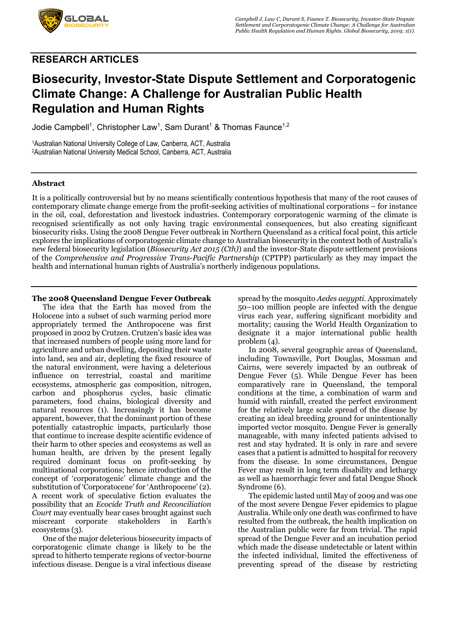

# **RESEARCH ARTICLES**

# **Biosecurity, Investor-State Dispute Settlement and Corporatogenic Climate Change: A Challenge for Australian Public Health Regulation and Human Rights**

Jodie Campbell<sup>1</sup>, Christopher Law<sup>1</sup>, Sam Durant<sup>1</sup> & Thomas Faunce<sup>1,2</sup>

1Australian National University College of Law, Canberra, ACT, Australia 2Australian National University Medical School, Canberra, ACT, Australia

### **Abstract**

It is a politically controversial but by no means scientifically contentious hypothesis that many of the root causes of contemporary climate change emerge from the profit-seeking activities of multinational corporations – for instance in the oil, coal, deforestation and livestock industries. Contemporary corporatogenic warming of the climate is recognised scientifically as not only having tragic environmental consequences, but also creating significant biosecurity risks. Using the 2008 Dengue Fever outbreak in Northern Queensland as a critical focal point, this article explores the implications of corporatogenic climate change to Australian biosecurity in the context both of Australia's new federal biosecurity legislation (*Biosecurity Act 2015 (Cth)*) and the investor-State dispute settlement provisions of the *Comprehensive and Progressive Trans-Pacific Partnership* (CPTPP) particularly as they may impact the health and international human rights of Australia's northerly indigenous populations.

### **The 2008 Queensland Dengue Fever Outbreak**

The idea that the Earth has moved from the Holocene into a subset of such warming period more appropriately termed the Anthropocene was first proposed in 2002 by Crutzen. Crutzen's basic idea was that increased numbers of people using more land for agriculture and urban dwelling, depositing their waste into land, sea and air, depleting the fixed resource of the natural environment, were having a deleterious influence on terrestrial, coastal and maritime ecosystems, atmospheric gas composition, nitrogen, carbon and phosphorus cycles, basic climatic parameters, food chains, biological diversity and natural resources (1). Increasingly it has become apparent, however, that the dominant portion of these potentially catastrophic impacts, particularly those that continue to increase despite scientific evidence of their harm to other species and ecosystems as well as human health, are driven by the present legally required dominant focus on profit-seeking by multinational corporations; hence introduction of the concept of 'corporatogenic' climate change and the substitution of 'Corporatocene' for 'Anthropocene' (2). A recent work of speculative fiction evaluates the possibility that an *Ecocide Truth and Reconciliation Court* may eventually hear cases brought against such miscreant corporate stakeholders in Earth's ecosystems (3).

One of the major deleterious biosecurity impacts of corporatogenic climate change is likely to be the spread to hitherto temperate regions of vector-bourne infectious disease. Dengue is a viral infectious disease

spread by the mosquito *Aedes aegypti*. Approximately 50–100 million people are infected with the dengue virus each year, suffering significant morbidity and mortality; causing the World Health Organization to designate it a major international public health problem (4).

In 2008, several geographic areas of Queensland, including Townsville, Port Douglas, Mossman and Cairns, were severely impacted by an outbreak of Dengue Fever (5). While Dengue Fever has been comparatively rare in Queensland, the temporal conditions at the time, a combination of warm and humid with rainfall, created the perfect environment for the relatively large scale spread of the disease by creating an ideal breeding ground for unintentionally imported vector mosquito. Dengue Fever is generally manageable, with many infected patients advised to rest and stay hydrated. It is only in rare and severe cases that a patient is admitted to hospital for recovery from the disease. In some circumstances, Dengue Fever may result in long term disability and lethargy as well as haemorrhagic fever and fatal Dengue Shock Syndrome (6).

The epidemic lasted until May of 2009 and was one of the most severe Dengue Fever epidemics to plague Australia. While only one death was confirmed to have resulted from the outbreak, the health implication on the Australian public were far from trivial. The rapid spread of the Dengue Fever and an incubation period which made the disease undetectable or latent within the infected individual, limited the effectiveness of preventing spread of the disease by restricting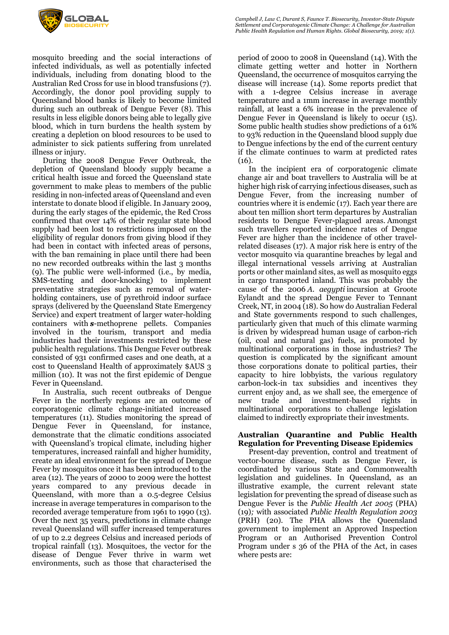

mosquito breeding and the social interactions of infected individuals, as well as potentially infected individuals, including from donating blood to the Australian Red Cross for use in blood transfusions (7). Accordingly, the donor pool providing supply to Queensland blood banks is likely to become limited during such an outbreak of Dengue Fever (8). This results in less eligible donors being able to legally give blood, which in turn burdens the health system by creating a depletion on blood resources to be used to administer to sick patients suffering from unrelated illness or injury.

During the 2008 Dengue Fever Outbreak, the depletion of Queensland bloody supply became a critical health issue and forced the Queensland state government to make pleas to members of the public residing in non-infected areas of Queensland and even interstate to donate blood if eligible. In January 2009, during the early stages of the epidemic, the Red Cross confirmed that over 14% of their regular state blood supply had been lost to restrictions imposed on the eligibility of regular donors from giving blood if they had been in contact with infected areas of persons, with the ban remaining in place until there had been no new recorded outbreaks within the last 3 months (9). The public were well-informed (i.e., by media, SMS-texting and door-knocking) to implement preventative strategies such as removal of waterholding containers, use of pyrethroid indoor surface sprays (delivered by the Queensland State Emergency Service) and expert treatment of larger water-holding containers with *s*-methoprene pellets. Companies involved in the tourism, transport and media industries had their investments restricted by these public health regulations. This Dengue Fever outbreak consisted of 931 confirmed cases and one death, at a cost to Queensland Health of approximately \$AUS 3 million (10). It was not the first epidemic of Dengue Fever in Queensland.

In Australia, such recent outbreaks of Dengue Fever in the northerly regions are an outcome of corporatogenic climate change-initiated increased temperatures (11). Studies monitoring the spread of Dengue Fever in Queensland, for instance, demonstrate that the climatic conditions associated with Queensland's tropical climate, including higher temperatures, increased rainfall and higher humidity, create an ideal environment for the spread of Dengue Fever by mosquitos once it has been introduced to the area (12). The years of 2000 to 2009 were the hottest years compared to any previous decade in Queensland, with more than a 0.5-degree Celsius increase in average temperatures in comparison to the recorded average temperature from 1961 to 1990 (13). Over the next 35 years, predictions in climate change reveal Queensland will suffer increased temperatures of up to 2.2 degrees Celsius and increased periods of tropical rainfall (13). Mosquitoes, the vector for the disease of Dengue Fever thrive in warm wet environments, such as those that characterised the

period of 2000 to 2008 in Queensland (14). With the climate getting wetter and hotter in Northern Queensland, the occurrence of mosquitos carrying the disease will increase (14). Some reports predict that with a 1-degree Celsius increase in average temperature and a 1mm increase in average monthly rainfall, at least a 6% increase in the prevalence of Dengue Fever in Queensland is likely to occur (15). Some public health studies show predictions of a 61% to 93% reduction in the Queensland blood supply due to Dengue infections by the end of the current century if the climate continues to warm at predicted rates  $(16)$ .

In the incipient era of corporatogenic climate change air and boat travellers to Australia will be at higher high risk of carrying infectious diseases, such as Dengue Fever, from the increasing number of countries where it is endemic (17). Each year there are about ten million short term departures by Australian residents to Dengue Fever-plagued areas. Amongst such travellers reported incidence rates of Dengue Fever are higher than the incidence of other travelrelated diseases (17). A major risk here is entry of the vector mosquito via quarantine breaches by legal and illegal international vessels arriving at Australian ports or other mainland sites, as well as mosquito eggs in cargo transported inland. This was probably the cause of the 2006 *A. aegypti* incursion at Groote Eylandt and the spread Dengue Fever to Tennant Creek, NT, in 2004 (18). So how do Australian Federal and State governments respond to such challenges, particularly given that much of this climate warming is driven by widespread human usage of carbon-rich (oil, coal and natural gas) fuels, as promoted by multinational corporations in those industries? The question is complicated by the significant amount those corporations donate to political parties, their capacity to hire lobbyists, the various regulatory carbon-lock-in tax subsidies and incentives they current enjoy and, as we shall see, the emergence of new trade and investment-based rights in multinational corporations to challenge legislation claimed to indirectly expropriate their investments.

# **Australian Quarantine and Public Health Regulation for Preventing Disease Epidemics**

Present-day prevention, control and treatment of vector-bourne disease, such as Dengue Fever, is coordinated by various State and Commonwealth legislation and guidelines. In Queensland, as an illustrative example, the current relevant state legislation for preventing the spread of disease such as Dengue Fever is the *Public Health Act 2005* (PHA) (19)*;* with associated *Public Health Regulation 2003*  (PRH) (20)*.* The PHA allows the Queensland government to implement an Approved Inspection Program or an Authorised Prevention Control Program under s 36 of the PHA of the Act, in cases where pests are: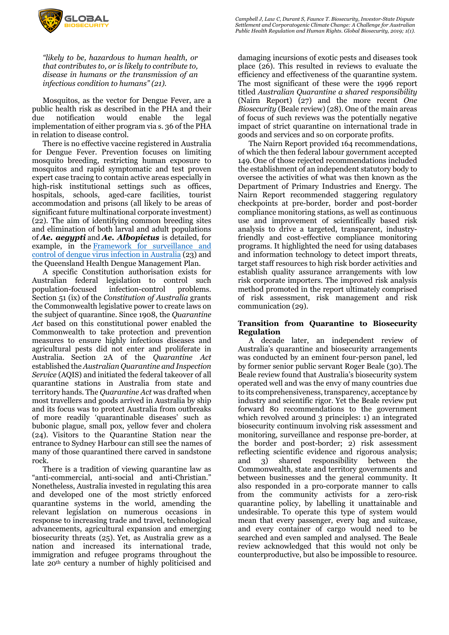

*"likely to be, hazardous to human health, or that contributes to, or is likely to contribute to, disease in humans or the transmission of an infectious condition to humans" (21).*

Mosquitos, as the vector for Dengue Fever, are a public health risk as described in the PHA and their due notification would enable the legal implementation of either program via s. 36 of the PHA in relation to disease control.

There is no effective vaccine registered in Australia for Dengue Fever. Prevention focuses on limiting mosquito breeding, restricting human exposure to mosquitos and rapid symptomatic and test proven expert case tracing to contain active areas especially in high-risk institutional settings such as offices, hospitals, schools, aged-care facilities, tourist accommodation and prisons (all likely to be areas of significant future multinational corporate investment) (22). The aim of identifying common breeding sites and elimination of both larval and adult populations of *Ae. aegypti* and *Ae. Albopictus* is detailed, for example, in the Framework for surveillance and control of dengue virus infection in Australia (23) and the Queensland Health Dengue Management Plan.

A specific Constitution authorisation exists for Australian federal legislation to control such population-focused infection-control problems. Section 51 (ix) of the *Constitution of Australia* grants the Commonwealth legislative power to create laws on the subject of quarantine. Since 1908, the *Quarantine Act* based on this constitutional power enabled the Commonwealth to take protection and prevention measures to ensure highly infectious diseases and agricultural pests did not enter and proliferate in Australia. Section 2A of the *Quarantine Act* established the *Australian Quarantine and Inspection Service* (AQIS) and initiated the federal takeover of all quarantine stations in Australia from state and territory hands. The *Quarantine Act* was drafted when most travellers and goods arrived in Australia by ship and its focus was to protect Australia from outbreaks of more readily 'quarantinable diseases' such as bubonic plague, small pox, yellow fever and cholera (24). Visitors to the Quarantine Station near the entrance to Sydney Harbour can still see the names of many of those quarantined there carved in sandstone rock.

There is a tradition of viewing quarantine law as "anti-commercial, anti-social and anti-Christian." Nonetheless, Australia invested in regulating this area and developed one of the most strictly enforced quarantine systems in the world, amending the relevant legislation on numerous occasions in response to increasing trade and travel, technological advancements, agricultural expansion and emerging biosecurity threats (25). Yet, as Australia grew as a nation and increased its international trade, immigration and refugee programs throughout the late 20th century a number of highly politicised and

damaging incursions of exotic pests and diseases took place (26). This resulted in reviews to evaluate the efficiency and effectiveness of the quarantine system. The most significant of these were the 1996 report titled *Australian Quarantine a shared responsibility*  (Nairn Report) (27) and the more recent *One Biosecurity* (Beale review) (28). One of the main areas of focus of such reviews was the potentially negative impact of strict quarantine on international trade in goods and services and so on corporate profits.

The Nairn Report provided 164 recommendations, of which the then federal labour government accepted 149. One of those rejected recommendations included the establishment of an independent statutory body to oversee the activities of what was then known as the Department of Primary Industries and Energy. The Nairn Report recommended staggering regulatory checkpoints at pre-border, border and post-border compliance monitoring stations, as well as continuous use and improvement of scientifically based risk analysis to drive a targeted, transparent, industryfriendly and cost-effective compliance monitoring programs. It highlighted the need for using databases and information technology to detect import threats, target staff resources to high risk border activities and establish quality assurance arrangements with low risk corporate importers. The improved risk analysis method promoted in the report ultimately comprised of risk assessment, risk management and risk communication (29).

# **Transition from Quarantine to Biosecurity Regulation**

A decade later, an independent review of Australia's quarantine and biosecurity arrangements was conducted by an eminent four-person panel, led by former senior public servant Roger Beale (30). The Beale review found that Australia's biosecurity system operated well and was the envy of many countries due to its comprehensiveness, transparency, acceptance by industry and scientific rigor. Yet the Beale review put forward 80 recommendations to the government which revolved around 3 principles: 1) an integrated biosecurity continuum involving risk assessment and monitoring, surveillance and response pre-border, at the border and post-border; 2) risk assessment reflecting scientific evidence and rigorous analysis; and 3) shared responsibility between the Commonwealth, state and territory governments and between businesses and the general community. It also responded in a pro-corporate manner to calls from the community activists for a zero-risk quarantine policy, by labelling it unattainable and undesirable. To operate this type of system would mean that every passenger, every bag and suitcase, and every container of cargo would need to be searched and even sampled and analysed. The Beale review acknowledged that this would not only be counterproductive, but also be impossible to resource.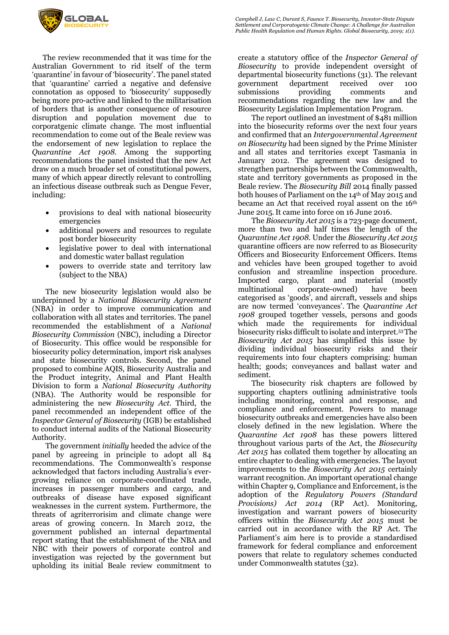

The review recommended that it was time for the Australian Government to rid itself of the term 'quarantine' in favour of 'biosecurity'. The panel stated that 'quarantine' carried a negative and defensive connotation as opposed to 'biosecurity' supposedly being more pro-active and linked to the militarisation of borders that is another consequence of resource disruption and population movement due to corporatgenic climate change. The most influential recommendation to come out of the Beale review was the endorsement of new legislation to replace the *Quarantine Act 1908*. Among the supporting recommendations the panel insisted that the new Act draw on a much broader set of constitutional powers,

- many of which appear directly relevant to controlling an infectious disease outbreak such as Dengue Fever, including:
	- provisions to deal with national biosecurity emergencies
	- additional powers and resources to regulate post border biosecurity
	- legislative power to deal with international and domestic water ballast regulation
	- powers to override state and territory law (subject to the NBA)

The new biosecurity legislation would also be underpinned by a *National Biosecurity Agreement* (NBA) in order to improve communication and collaboration with all states and territories. The panel recommended the establishment of a *National Biosecurity Commission* (NBC), including a Director of Biosecurity. This office would be responsible for biosecurity policy determination, import risk analyses and state biosecurity controls. Second, the panel proposed to combine AQIS, Biosecurity Australia and the Product integrity, Animal and Plant Health Division to form a *National Biosecurity Authority*  (NBA). The Authority would be responsible for administering the new *Biosecurity Act*. Third, the panel recommended an independent office of the *Inspector General of Biosecurity* (IGB) be established to conduct internal audits of the National Biosecurity Authority.

The government *initially* heeded the advice of the panel by agreeing in principle to adopt all 84 recommendations. The Commonwealth's response acknowledged that factors including Australia's evergrowing reliance on corporate-coordinated trade, increases in passenger numbers and cargo, and outbreaks of disease have exposed significant weaknesses in the current system. Furthermore, the threats of agriterrorisim and climate change were areas of growing concern. In March 2012, the government published an internal departmental report stating that the establishment of the NBA and NBC with their powers of corporate control and investigation was rejected by the government but upholding its initial Beale review commitment to

create a statutory office of the *Inspector General of Biosecurity* to provide independent oversight of departmental biosecurity functions (31). The relevant government department received over 100 submissions providing comments and recommendations regarding the new law and the Biosecurity Legislation Implementation Program.

The report outlined an investment of \$481 million into the biosecurity reforms over the next four years and confirmed that an *Intergovernmental Agreement on Biosecurity* had been signed by the Prime Minister and all states and territories except Tasmania in January 2012. The agreement was designed to strengthen partnerships between the Commonwealth, state and territory governments as proposed in the Beale review. The *Biosecurity Bill* 2014 finally passed both houses of Parliament on the 14th of May 2015 and became an Act that received royal assent on the 16<sup>th</sup> June 2015.It came into force on 16 June 2016.

The *Biosecurity Act 2015* is a 723-page document, more than two and half times the length of the *Quarantine Act 1908*. Under the *Biosecurity Act 2015* quarantine officers are now referred to as Biosecurity Officers and Biosecurity Enforcement Officers. Items and vehicles have been grouped together to avoid confusion and streamline inspection procedure. Imported cargo, plant and material (mostly multinational corporate-owned) have been categorised as 'goods', and aircraft, vessels and ships are now termed 'conveyances'. The *Quarantine Act 1908* grouped together vessels, persons and goods which made the requirements for individual biosecurity risks difficult to isolate and interpret.53 The *Biosecurity Act 2015* has simplified this issue by dividing individual biosecurity risks and their requirements into four chapters comprising: human health; goods; conveyances and ballast water and sediment.

The biosecurity risk chapters are followed by supporting chapters outlining administrative tools including monitoring, control and response, and compliance and enforcement. Powers to manage biosecurity outbreaks and emergencies have also been closely defined in the new legislation. Where the *Quarantine Act 1908* has these powers littered throughout various parts of the Act, the *Biosecurity Act 2015* has collated them together by allocating an entire chapter to dealing with emergencies. The layout improvements to the *Biosecurity Act 2015* certainly warrant recognition. An important operational change within Chapter 9, Compliance and Enforcement, is the adoption of the *Regulatory Powers (Standard Provisions) Act 2014* (RP Act). Monitoring, investigation and warrant powers of biosecurity officers within the *Biosecurity Act 2015* must be carried out in accordance with the RP Act. The Parliament's aim here is to provide a standardised framework for federal compliance and enforcement powers that relate to regulatory schemes conducted under Commonwealth statutes (32).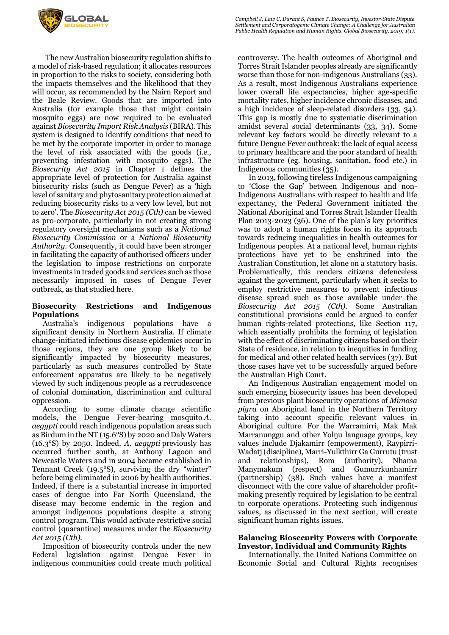

The new Australian biosecurity regulation shifts to a model of risk-based regulation; it allocates resources in proportion to the risks to society, considering both the impacts themselves and the likelihood that they will occur, as recommended by the Nairn Report and the Beale Review. Goods that are imported into Australia (for example those that might contain mosquito eggs) are now required to be evaluated against *Biosecurity Import Risk Analysis* (BIRA).This system is designed to identify conditions that need to be met by the corporate importer in order to manage the level of risk associated with the goods (i.e., preventing infestation with mosquito eggs). The *Biosecurity Act 2015* in Chapter 1 defines the appropriate level of protection for Australia against biosecurity risks (such as Dengue Fever) as a 'high level of sanitary and phytosanitary protection aimed at reducing biosecurity risks to a very low level, but not to zero'. The *Biosecurity Act 2015 (Cth)* can be viewed as pro-corporate, particularly in not creating strong regulatory oversight mechanisms such as a *National Biosecurity Commission* or a *National Biosecurity Authority.* Consequently, it could have been stronger in facilitating the capacity of authorised officers under the legislation to impose restrictions on corporate investments in traded goods and services such as those necessarily imposed in cases of Dengue Fever outbreak, as that studied here.

# **Biosecurity Restrictions and Indigenous Populations**

Australia's indigenous populations have significant density in Northern Australia. If climate change-initiated infectious disease epidemics occur in those regions, they are one group likely to be significantly impacted by biosecurity measures, particularly as such measures controlled by State enforcement apparatus are likely to be negatively viewed by such indigenous people as a recrudescence of colonial domination, discrimination and cultural oppression.

According to some climate change scientific models, the Dengue Fever-bearing mosquito *A. aegypti* could reach indigenous population areas such as Birdum in the NT (15.6°S) by 2020 and Daly Waters (16.3°S) by 2050. Indeed, *A. aegypti* previously has occurred further south, at Anthony Lagoon and Newcastle Waters and in 2004 became established in Tennant Creek (19.5°S), surviving the dry "winter" before being eliminated in 2006 by health authorities. Indeed, if there is a substantial increase in imported cases of dengue into Far North Queensland, the disease may become endemic in the region and amongst indigenous populations despite a strong control program. This would activate restrictive social control (quarantine) measures under the *Biosecurity Act 2015 (Cth).*

Imposition of biosecurity controls under the new Federal legislation against Dengue Fever in indigenous communities could create much political

controversy. The health outcomes of Aboriginal and Torres Strait Islander peoples already are significantly worse than those for non-indigenous Australians (33). As a result, most Indigenous Australians experience lower overall life expectancies, higher age-specific mortality rates, higher incidence chronic diseases, and a high incidence of sleep-related disorders (33, 34). This gap is mostly due to systematic discrimination amidst several social determinants (33, 34). Some relevant key factors would be directly relevant to a future Dengue Fever outbreak: the lack of equal access to primary healthcare and the poor standard of health infrastructure (eg. housing, sanitation, food etc.) in Indigenous communities (35).

In 2013, following tireless Indigenous campaigning to 'Close the Gap' between Indigenous and non-Indigenous Australians with respect to health and life expectancy, the Federal Government initiated the National Aboriginal and Torres Strait Islander Health Plan 2013-2023 (36). One of the plan's key priorities was to adopt a human rights focus in its approach towards reducing inequalities in health outcomes for Indigenous peoples. At a national level, human rights protections have yet to be enshrined into the Australian Constitution, let alone on a statutory basis. Problematically, this renders citizens defenceless against the government, particularly when it seeks to employ restrictive measures to prevent infectious disease spread such as those available under the *Biosecurity Act 2015 (Cth)*. Some Australian constitutional provisions could be argued to confer human rights-related protections, like Section 117, which essentially prohibits the forming of legislation with the effect of discriminating citizens based on their State of residence, in relation to inequities in funding for medical and other related health services (37). But those cases have yet to be successfully argued before the Australian High Court.

An Indigenous Australian engagement model on such emerging biosecurity issues has been developed from previous plant biosecurity operations of *Mimosa pigra* on Aboriginal land in the Northern Territory taking into account specific relevant values in Aboriginal culture. For the Warramirri, Mak Mak Marranunggu and other Yolŋu language groups, key values include Djakamirr (empowerment), Raypirri-Wadatj (discipline), Marri-Yulkthirr Ga Gurrutu (trust and relationships), Rom (authority), Nhama Manymakum (respect) and Gumurrkunhamirr (partnership) (38). Such values have a manifest disconnect with the core value of shareholder profitmaking presently required by legislation to be central to corporate operations. Protecting such indigenous values, as discussed in the next section, will create significant human rights issues.

# **Balancing Biosecurity Powers with Corporate Investor, Individual and Community Rights**

Internationally, the United Nations Committee on Economic Social and Cultural Rights recognises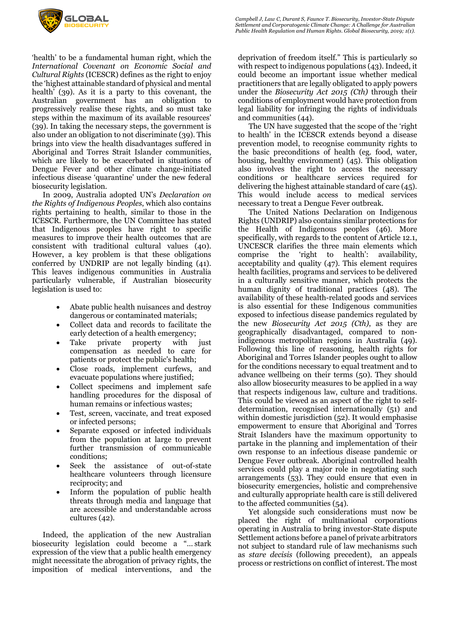

'health' to be a fundamental human right, which the *International Covenant on Economic Social and Cultural Rights* (ICESCR) defines as the right to enjoy the 'highest attainable standard of physical and mental health' (39). As it is a party to this covenant, the Australian government has an obligation to progressively realise these rights, and so must take steps within the maximum of its available resources' (39). In taking the necessary steps, the government is also under an obligation to not discriminate (39). This brings into view the health disadvantages suffered in Aboriginal and Torres Strait Islander communities, which are likely to be exacerbated in situations of Dengue Fever and other climate change-initiated infectious disease 'quarantine' under the new federal biosecurity legislation.

In 2009, Australia adopted UN's *Declaration on the Rights of Indigenous Peoples*, which also contains rights pertaining to health, similar to those in the ICESCR. Furthermore, the UN Committee has stated that Indigenous peoples have right to specific measures to improve their health outcomes that are consistent with traditional cultural values (40). However, a key problem is that these obligations conferred by UNDRIP are not legally binding (41). This leaves indigenous communities in Australia particularly vulnerable, if Australian biosecurity legislation is used to:

- Abate public health nuisances and destroy dangerous or contaminated materials;
- Collect data and records to facilitate the early detection of a health emergency;
- Take private property with just compensation as needed to care for patients or protect the public's health;
- Close roads, implement curfews, and evacuate populations where justified;
- Collect specimens and implement safe handling procedures for the disposal of human remains or infectious wastes;
- Test, screen, vaccinate, and treat exposed or infected persons;
- Separate exposed or infected individuals from the population at large to prevent further transmission of communicable conditions;
- Seek the assistance of out-of-state healthcare volunteers through licensure reciprocity; and
- Inform the population of public health threats through media and language that are accessible and understandable across cultures (42).

Indeed, the application of the new Australian biosecurity legislation could become a "… stark expression of the view that a public health emergency might necessitate the abrogation of privacy rights, the imposition of medical interventions, and the

deprivation of freedom itself." This is particularly so with respect to indigenous populations (43). Indeed, it could become an important issue whether medical practitioners that are legally obligated to apply powers under the *Biosecurity Act 2015 (Cth)* through their conditions of employment would have protection from legal liability for infringing the rights of individuals and communities (44).

The UN have suggested that the scope of the 'right to health' in the ICESCR extends beyond a disease prevention model, to recognise community rights to the basic preconditions of health (eg. food, water, housing, healthy environment) (45). This obligation also involves the right to access the necessary conditions or healthcare services required for delivering the highest attainable standard of care (45). This would include access to medical services necessary to treat a Dengue Fever outbreak.

The United Nations Declaration on Indigenous Rights (UNDRIP) also contains similar protections for the Health of Indigenous peoples (46). More specifically, with regards to the content of Article 12.1, UNCESCR clarifies the three main elements which comprise the 'right to health': availability, acceptability and quality (47). This element requires health facilities, programs and services to be delivered in a culturally sensitive manner, which protects the human dignity of traditional practices (48). The availability of these health-related goods and services is also essential for these Indigenous communities exposed to infectious disease pandemics regulated by the new *Biosecurity Act 2015 (Cth)*, as they are geographically disadvantaged, compared to nonindigenous metropolitan regions in Australia (49). Following this line of reasoning, health rights for Aboriginal and Torres Islander peoples ought to allow for the conditions necessary to equal treatment and to advance wellbeing on their terms (50). They should also allow biosecurity measures to be applied in a way that respects indigenous law, culture and traditions. This could be viewed as an aspect of the right to selfdetermination, recognised internationally (51) and within domestic jurisdiction (52). It would emphasise empowerment to ensure that Aboriginal and Torres Strait Islanders have the maximum opportunity to partake in the planning and implementation of their own response to an infectious disease pandemic or Dengue Fever outbreak. Aboriginal controlled health services could play a major role in negotiating such arrangements  $(53)$ . They could ensure that even in biosecurity emergencies, holistic and comprehensive and culturally appropriate health care is still delivered to the affected communities (54).

Yet alongside such considerations must now be placed the right of multinational corporations operating in Australia to bring investor-State dispute Settlement actions before a panel of private arbitrators not subject to standard rule of law mechanisms such as *stare decisis* (following precedent), an appeals process or restrictions on conflict of interest. The most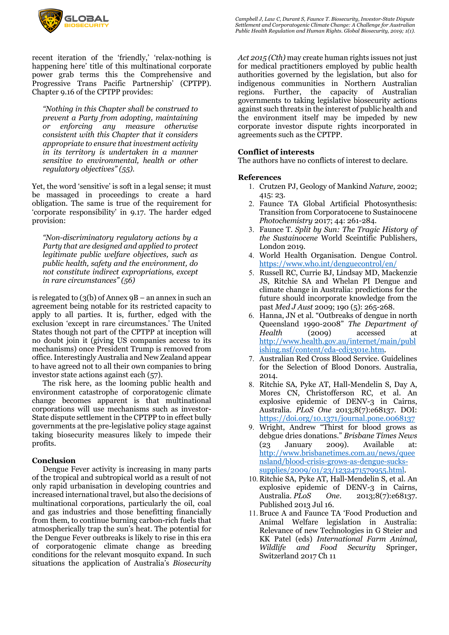

recent iteration of the 'friendly,' 'relax-nothing is happening here' title of this multinational corporate power grab terms this the Comprehensive and Progressive Trans Pacific Partnership' (CPTPP). Chapter 9.16 of the CPTPP provides:

*"Nothing in this Chapter shall be construed to prevent a Party from adopting, maintaining or enforcing any measure otherwise consistent with this Chapter that it considers appropriate to ensure that investment activity in its territory is undertaken in a manner sensitive to environmental, health or other regulatory objectives" (55).* 

Yet, the word 'sensitive' is soft in a legal sense; it must be massaged in proceedings to create a hard obligation. The same is true of the requirement for 'corporate responsibility' in 9.17. The harder edged provision:

*"Non-discriminatory regulatory actions by a Party that are designed and applied to protect legitimate public welfare objectives, such as public health, safety and the environment, do not constitute indirect expropriations, except in rare circumstances" (56)* 

is relegated to  $(3(b)$  of Annex  $9B -$ an annex in such an agreement being notable for its restricted capacity to apply to all parties. It is, further, edged with the exclusion 'except in rare circumstances.' The United States though not part of the CPTPP at inception will no doubt join it (giving US companies access to its mechanisms) once President Trump is removed from office. Interestingly Australia and New Zealand appear to have agreed not to all their own companies to bring investor state actions against each (57).

The risk here, as the looming public health and environment catastrophe of corporatogenic climate change becomes apparent is that multinational corporations will use mechanisms such as investor-State dispute settlement in the CPTPP to in effect bully governments at the pre-legislative policy stage against taking biosecurity measures likely to impede their profits.

### **Conclusion**

Dengue Fever activity is increasing in many parts of the tropical and subtropical world as a result of not only rapid urbanisation in developing countries and increased international travel, but also the decisions of multinational corporations, particularly the oil, coal and gas industries and those benefitting financially from them, to continue burning carbon-rich fuels that atmospherically trap the sun's heat. The potential for the Dengue Fever outbreaks is likely to rise in this era of corporatogenic climate change as breeding conditions for the relevant mosquito expand. In such situations the application of Australia's *Biosecurity*  *Campbell J, Law C, Durant S, Faunce T. Biosecurity, Investor-State Dispute Settlement and Corporatogenic Climate Change: A Challenge for Australian Public Health Regulation and Human Rights. Global Biosecurity, 2019; 1(1).*

*Act 2015 (Cth)* may create human rights issues not just for medical practitioners employed by public health authorities governed by the legislation, but also for indigenous communities in Northern Australian regions. Further, the capacity of Australian governments to taking legislative biosecurity actions against such threats in the interest of public health and the environment itself may be impeded by new corporate investor dispute rights incorporated in agreements such as the CPTPP.

### **Conflict of interests**

The authors have no conflicts of interest to declare.

### **References**

- 1. Crutzen PJ, Geology of Mankind *Nature*, 2002; 415: 23.
- 2. Faunce TA Global Artificial Photosynthesis: Transition from Corporatocene to Sustainocene *Photochemistry* 2017; 44: 261-284.
- 3. Faunce T. *Split by Sun: The Tragic History of the Sustainocene* World Sceintific Publishers, London 2019.
- 4. World Health Organisation. Dengue Control. https://www.who.int/denguecontrol/en/
- 5. Russell RC, Currie BJ, Lindsay MD, Mackenzie JS, Ritchie SA and Whelan PI Dengue and climate change in Australia: predictions for the future should incorporate knowledge from the past *Med J Aust* 2009; 190 (5): 265-268.
- 6. Hanna, JN et al. "Outbreaks of dengue in north Queensland 1990-2008" *The Department of Health* (2009) accessed at http://www.health.gov.au/internet/main/publ ishing.nsf/content/cda-cdi3301e.htm.
- 7. Australian Red Cross Blood Service. Guidelines for the Selection of Blood Donors. Australia, 2014.
- 8. Ritchie SA, Pyke AT, Hall-Mendelin S, Day A, Mores CN, Christofferson RC, et al. An explosive epidemic of DENV-3 in Cairns, Australia. *PLoS One* 2013;8(7):e68137. DOI: https://doi.org/10.1371/journal.pone.0068137
- 9. Wright, Andrew "Thirst for blood grows as debgue dries donations." *Brisbane Times News* (23 January 2009). Available at: http://www.brisbanetimes.com.au/news/quee nsland/blood-crisis-grows-as-dengue-suckssupplies/2009/01/23/1232471579955.html.
- 10. Ritchie SA, Pyke AT, Hall-Mendelin S, et al. An explosive epidemic of DENV-3 in Cairns, Australia. *PLoS One*. 2013;8(7):e68137. Published 2013 Jul 16.
- 11.Bruce A and Faunce TA 'Food Production and Animal Welfare legislation in Australia: Relevance of new Technologies in G Steier and KK Patel (eds) *International Farm Animal, Wildlife and Food Security* Springer, Switzerland 2017 Ch 11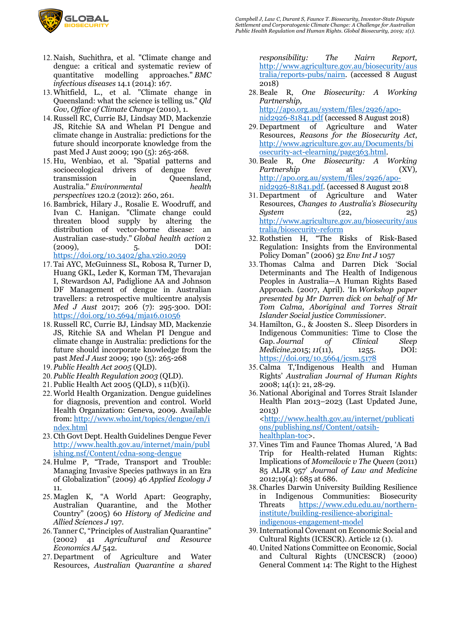

- 12. Naish, Suchithra, et al. "Climate change and dengue: a critical and systematic review of quantitative modelling approaches." *BMC infectious diseases* 14.1 (2014): 167.
- 13.Whitfield, L., et al. "Climate change in Queensland: what the science is telling us." *Qld Gov, Office of Climate Change* (2010), 1.
- 14. Russell RC, Currie BJ, Lindsay MD, Mackenzie JS, Ritchie SA and Whelan PI Dengue and climate change in Australia: predictions for the future should incorporate knowledge from the past Med J Aust 2009; 190 (5): 265-268.
- 15. Hu, Wenbiao, et al. "Spatial patterns and socioecological drivers of dengue fever transmission in Queensland, Australia." *Environmental health perspectives* 120.2 (2012): 260, 261.
- 16.Bambrick, Hilary J., Rosalie E. Woodruff, and Ivan C. Hanigan. "Climate change could threaten blood supply by altering the distribution of vector-borne disease: an Australian case-study." *Global health action* 2 (2009), 5. DOI: https://doi.org/10.3402/gha.v2i0.2059
- 17. Tai AYC, McGuinness SL, Robosa R, Turner D, Huang GKL, Leder K, Korman TM, Thevarajan I, Stewardson AJ, Padiglione AA and Johnson DF Management of dengue in Australian travellers: a retrospective multicentre analysis *Med J Aust* 2017; 206 (7): 295-300. DOI: https://doi.org/10.5694/mja16.01056
- 18. Russell RC, Currie BJ, Lindsay MD, Mackenzie JS, Ritchie SA and Whelan PI Dengue and climate change in Australia: predictions for the future should incorporate knowledge from the past *Med J Aust* 2009; 190 (5): 265-268
- 19. *Public Health Act 2005* (QLD).
- 20. *Public Health Regulation 2003* (QLD).
- 21. Public Health Act 2005 (QLD), s 11(b)(i).
- 22.World Health Organization. Dengue guidelines for diagnosis, prevention and control. World Health Organization: Geneva, 2009. Available from: http://www.who.int/topics/dengue/en/i ndex.html
- 23. Cth Govt Dept. Health Guidelines Dengue Fever http://www.health.gov.au/internet/main/publ ishing.nsf/Content/cdna-song-dengue
- 24. Hulme P, "Trade, Transport and Trouble: Managing Invasive Species pathways in an Era of Globalization" (2009) 46 *Applied Ecology J* 11.
- 25. Maglen K, "A World Apart: Geography, Australian Quarantine, and the Mother Country" (2005) 60 *History of Medicine and Allied Sciences J* 197.
- 26. Tanner C, "Principles of Australian Quarantine" (2002) 41 *Agricultural and Resource Economics AJ* 542.
- 27. Department of Agriculture and Water Resources, *Australian Quarantine a shared*

*responsibility: The Nairn Report,*  http://www.agriculture.gov.au/biosecurity/aus tralia/reports-pubs/nairn. (accessed 8 August 2018)

28.Beale R, *One Biosecurity: A Working Partnership,*  http://apo.org.au/system/files/2926/apo-

nid2926-81841.pdf (accessed 8 August 2018)

- 29. Department of Agriculture and Water Resources, *Reasons for the Biosecurity Act*, http://www.agriculture.gov.au/Documents/bi osecurity-act-elearning/page363.html.
- 30.Beale R, *One Biosecurity: A Working Partnership* at (XV)*,*  http://apo.org.au/system/files/2926/aponid2926-81841.pdf. (accessed 8 August 2018
- 31. Department of Agriculture and Water Resources, *Changes to Australia's Biosecurity System* (22, 25) http://www.agriculture.gov.au/biosecurity/aus tralia/biosecurity-reform
- 32. Rothstien H, "The Risks of Risk-Based Regulation: Insights from the Environmental Policy Doman" (2006) 32 *Env Int J* 1057
- 33. Thomas Calma and Darren Dick 'Social Determinants and The Health of Indigenous Peoples in Australia—A Human Rights Based Approach. (2007, April). 'In *Workshop paper presented by Mr Darren dick on behalf of Mr Tom Calma, Aboriginal and Torres Strait Islander Social justice Commissioner*.
- 34. Hamilton, G., & Joosten S.. Sleep Disorders in Indigenous Communities: Time to Close the Gap. *Journal of Clinical Sleep Medicine*,2015; *11*(11), 1255. DOI: https://doi.org/10.5664/jcsm.5178
- 35. Calma T,'Indigenous Health and Human Rights' *Australian Journal of Human Rights* 2008; 14(1): 21, 28-29.

36. National Aboriginal and Torres Strait Islander Health Plan 2013–2023 (Last Updated June, 2013) <http://www.health.gov.au/internet/publicati ons/publishing.nsf/Content/oatsih-

healthplan-toc>.

- 37.Vines Tim and Faunce Thomas Alured, 'A Bad Trip for Health-related Human Rights: Implications of *Momcilovic v The Queen* (2011) 85 ALJR 957' *Journal of Law and Medicine* 2012;19(4): 685 at 686.
- 38. Charles Darwin University Building Resilience in Indigenous Communities: Biosecurity Threats https://www.cdu.edu.au/northerninstitute/building-resilience-aboriginalindigenous-engagement-model
- 39.International Covenant on Economic Social and Cultural Rights (ICESCR). Article 12 (1).
- 40. United Nations Committee on Economic, Social and Cultural Rights (UNCESCR) (2000) General Comment 14: The Right to the Highest